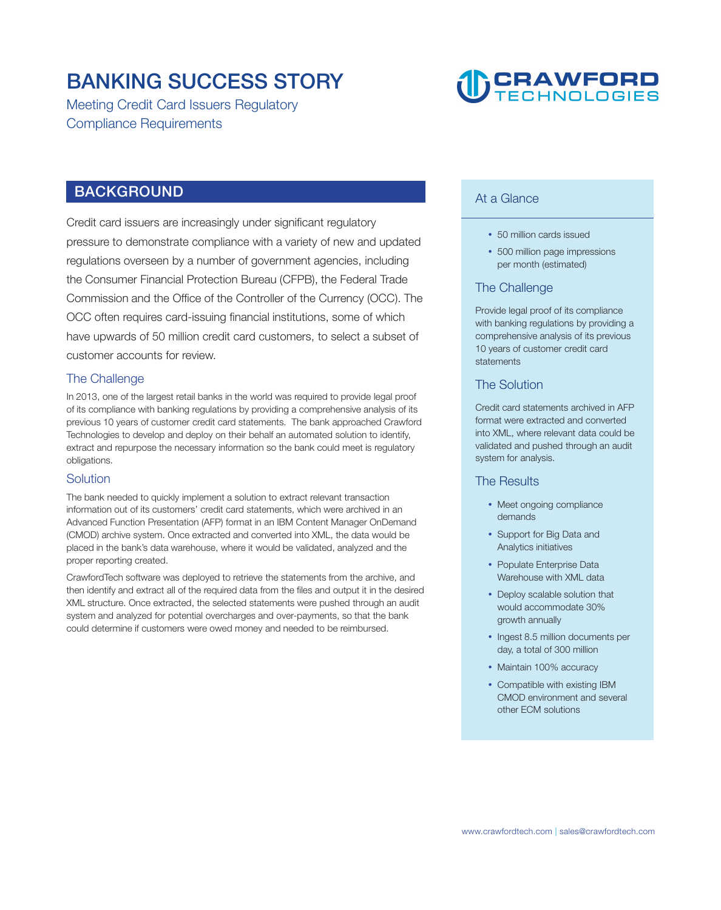### **BANKING SUCCESS STORY**

**Meeting Credit Card Issuers Regulatory Compliance Requirements**

## **DCRAWFORD**

#### **BACKGROUND**

**Credit card issuers are increasingly under significant regulatory pressure to demonstrate compliance with a variety of new and updated regulations overseen by a number of government agencies, including the Consumer Financial Protection Bureau (CFPB), the Federal Trade Commission and the Office of the Controller of the Currency (OCC). The OCC often requires card-issuing financial institutions, some of which have upwards of 50 million credit card customers, to select a subset of customer accounts for review.** 

#### **The Challenge**

**In 2013, one of the largest retail banks in the world was required to provide legal proof of its compliance with banking regulations by providing a comprehensive analysis of its previous 10 years of customer credit card statements. The bank approached Crawford Technologies to develop and deploy on their behalf an automated solution to identify, extract and repurpose the necessary information so the bank could meet is regulatory obligations.** 

#### **Solution**

**The bank needed to quickly implement a solution to extract relevant transaction information out of its customers' credit card statements, which were archived in an Advanced Function Presentation (AFP) format in an IBM Content Manager OnDemand (CMOD) archive system. Once extracted and converted into XML, the data would be placed in the bank's data warehouse, where it would be validated, analyzed and the proper reporting created.** 

**CrawfordTech software was deployed to retrieve the statements from the archive, and then identify and extract all of the required data from the files and output it in the desired XML structure. Once extracted, the selected statements were pushed through an audit system and analyzed for potential overcharges and over-payments, so that the bank could determine if customers were owed money and needed to be reimbursed.** 

#### **At a Glance**

- **50 million cards issued**
- **500 million page impressions per month (estimated)**

#### **The Challenge**

**Provide legal proof of its compliance with banking regulations by providing a comprehensive analysis of its previous 10 years of customer credit card statements** 

#### **The Solution**

**Credit card statements archived in AFP format were extracted and converted into XML, where relevant data could be validated and pushed through an audit system for analysis.** 

#### **The Results**

- **Meet ongoing compliance demands**
- **Support for Big Data and Analytics initiatives**
- **Populate Enterprise Data Warehouse with XML data**
- **Deploy scalable solution that would accommodate 30% growth annually**
- **Ingest 8.5 million documents per day, a total of 300 million**
- **Maintain 100% accuracy**
- **Compatible with existing IBM CMOD environment and several other ECM solutions**